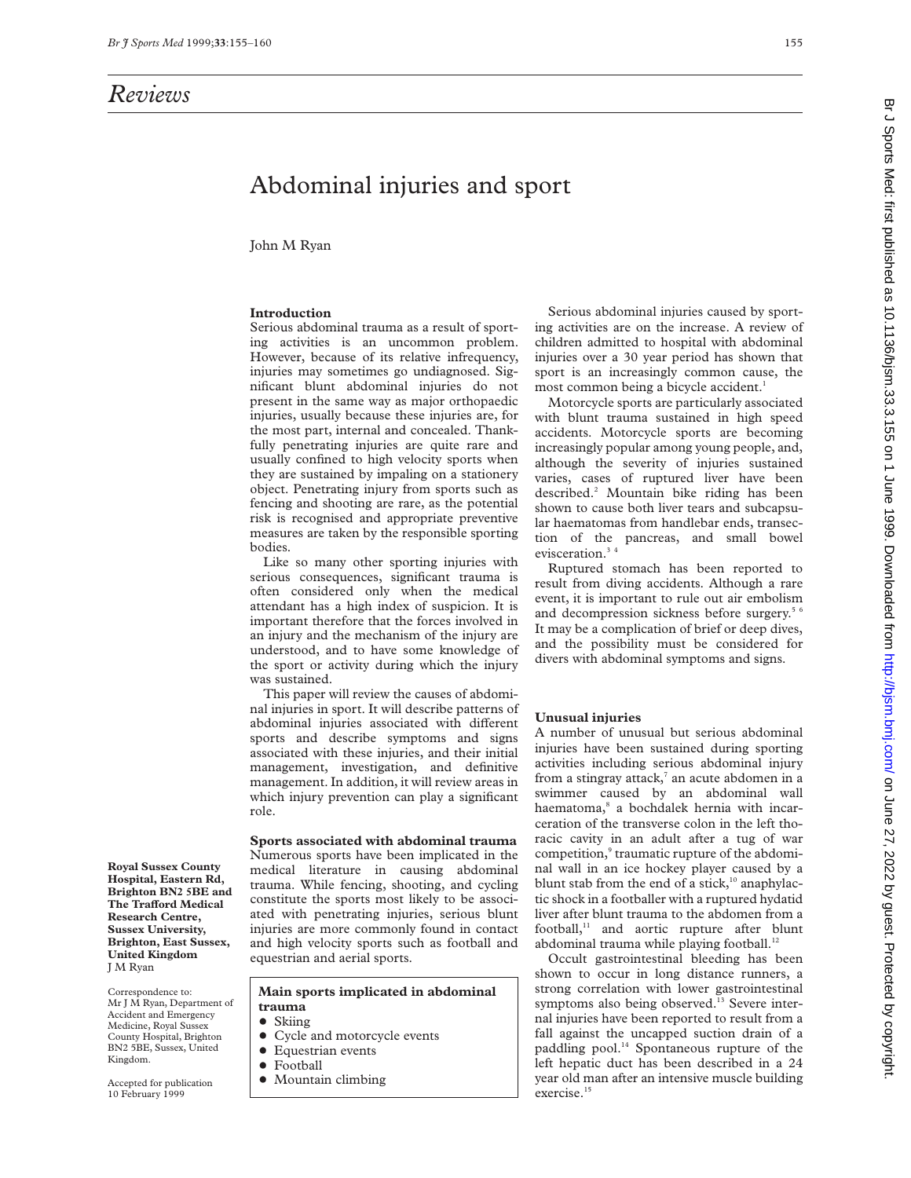# Abdominal injuries and sport

John M Ryan

### **Introduction**

Serious abdominal trauma as a result of sporting activities is an uncommon problem. However, because of its relative infrequency, injuries may sometimes go undiagnosed. Significant blunt abdominal injuries do not present in the same way as major orthopaedic injuries, usually because these injuries are, for the most part, internal and concealed. Thankfully penetrating injuries are quite rare and usually confined to high velocity sports when they are sustained by impaling on a stationery object. Penetrating injury from sports such as fencing and shooting are rare, as the potential risk is recognised and appropriate preventive measures are taken by the responsible sporting bodies.

Like so many other sporting injuries with serious consequences, significant trauma is often considered only when the medical attendant has a high index of suspicion. It is important therefore that the forces involved in an injury and the mechanism of the injury are understood, and to have some knowledge of the sport or activity during which the injury was sustained.

This paper will review the causes of abdominal injuries in sport. It will describe patterns of abdominal injuries associated with different sports and describe symptoms and signs associated with these injuries, and their initial management, investigation, and definitive management. In addition, it will review areas in which injury prevention can play a significant role.

#### **Sports associated with abdominal trauma**

Numerous sports have been implicated in the medical literature in causing abdominal trauma. While fencing, shooting, and cycling constitute the sports most likely to be associated with penetrating injuries, serious blunt injuries are more commonly found in contact and high velocity sports such as football and equestrian and aerial sports.

# **Main sports implicated in abdominal trauma**

- $\bullet$  Skiing
- Cycle and motorcycle events
- Equestrian events
- Football
- Mountain climbing

Serious abdominal injuries caused by sporting activities are on the increase. A review of children admitted to hospital with abdominal injuries over a 30 year period has shown that sport is an increasingly common cause, the most common being a bicycle accident.<sup>1</sup>

Motorcycle sports are particularly associated with blunt trauma sustained in high speed accidents. Motorcycle sports are becoming increasingly popular among young people, and, although the severity of injuries sustained varies, cases of ruptured liver have been described.<sup>2</sup> Mountain bike riding has been shown to cause both liver tears and subcapsular haematomas from handlebar ends, transection of the pancreas, and small bowel evisceration.<sup>34</sup>

Ruptured stomach has been reported to result from diving accidents. Although a rare event, it is important to rule out air embolism and decompression sickness before surgery.<sup>5</sup> It may be a complication of brief or deep dives, and the possibility must be considered for divers with abdominal symptoms and signs.

#### **Unusual injuries**

A number of unusual but serious abdominal injuries have been sustained during sporting activities including serious abdominal injury from a stingray attack, $^7$  an acute abdomen in a swimmer caused by an abdominal wall haematoma,<sup>8</sup> a bochdalek hernia with incarceration of the transverse colon in the left thoracic cavity in an adult after a tug of war competition,<sup>9</sup> traumatic rupture of the abdominal wall in an ice hockey player caused by a blunt stab from the end of a stick, $10$  anaphylactic shock in a footballer with a ruptured hydatid liver after blunt trauma to the abdomen from a football,<sup>11</sup> and aortic rupture after blunt abdominal trauma while playing football.<sup>12</sup>

Occult gastrointestinal bleeding has been shown to occur in long distance runners, a strong correlation with lower gastrointestinal symptoms also being observed.<sup>13</sup> Severe internal injuries have been reported to result from a fall against the uncapped suction drain of a paddling pool.<sup>14</sup> Spontaneous rupture of the left hepatic duct has been described in a 24 year old man after an intensive muscle building exercise.<sup>15</sup>

**Royal Sussex County Hospital, Eastern Rd, Brighton BN2 5BE and The Trafford Medical Research Centre, Sussex University, Brighton, East Sussex, United Kingdom** J M Ryan

Correspondence to: Mr J M Ryan, Department of Accident and Emergency Medicine, Royal Sussex County Hospital, Brighton BN2 5BE, Sussex, United Kingdom.

Accepted for publication 10 February 1999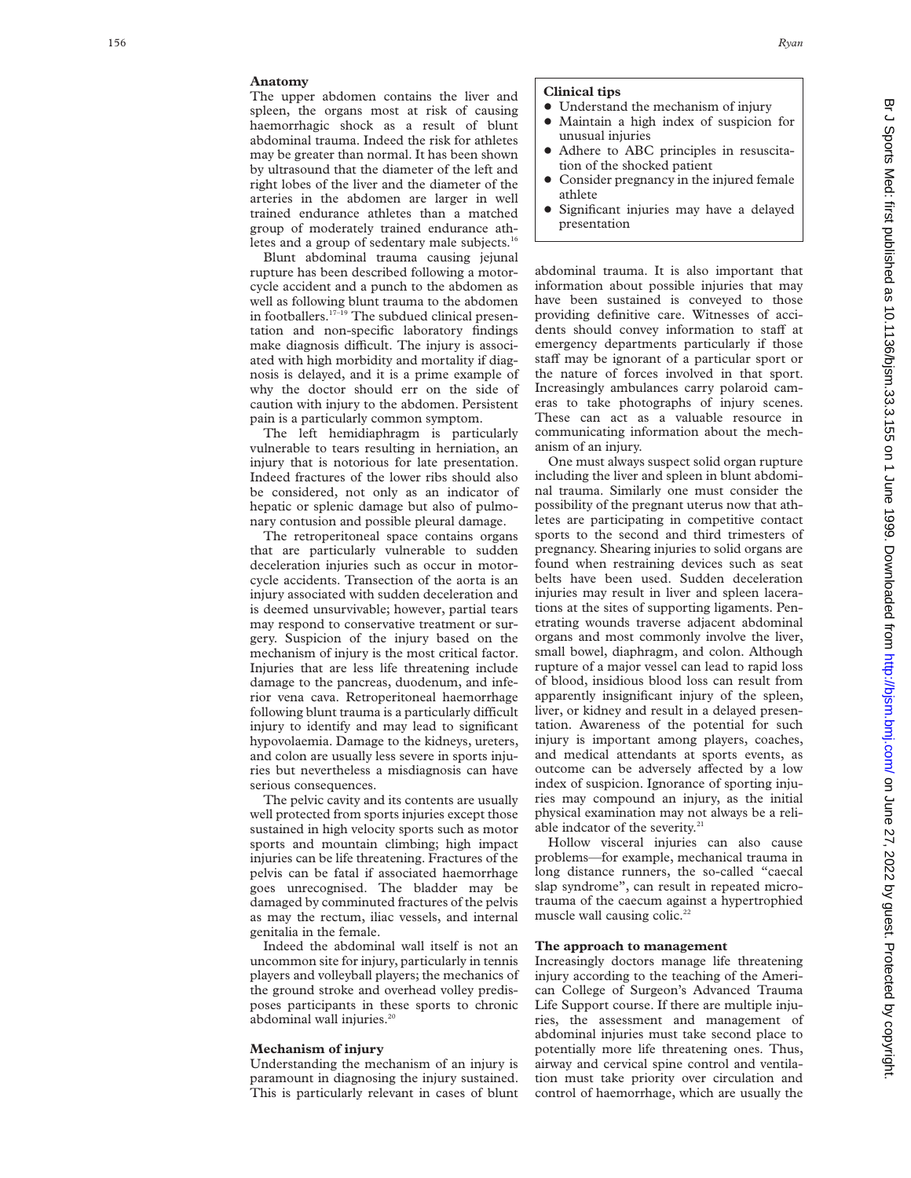The upper abdomen contains the liver and spleen, the organs most at risk of causing haemorrhagic shock as a result of blunt abdominal trauma. Indeed the risk for athletes may be greater than normal. It has been shown by ultrasound that the diameter of the left and right lobes of the liver and the diameter of the arteries in the abdomen are larger in well trained endurance athletes than a matched group of moderately trained endurance athletes and a group of sedentary male subjects.<sup>1</sup>

Blunt abdominal trauma causing jejunal rupture has been described following a motorcycle accident and a punch to the abdomen as well as following blunt trauma to the abdomen in footballers.<sup>17-19</sup> The subdued clinical presentation and non-specific laboratory findings make diagnosis difficult. The injury is associated with high morbidity and mortality if diagnosis is delayed, and it is a prime example of why the doctor should err on the side of caution with injury to the abdomen. Persistent pain is a particularly common symptom.

The left hemidiaphragm is particularly vulnerable to tears resulting in herniation, an injury that is notorious for late presentation. Indeed fractures of the lower ribs should also be considered, not only as an indicator of hepatic or splenic damage but also of pulmonary contusion and possible pleural damage.

The retroperitoneal space contains organs that are particularly vulnerable to sudden deceleration injuries such as occur in motorcycle accidents. Transection of the aorta is an injury associated with sudden deceleration and is deemed unsurvivable; however, partial tears may respond to conservative treatment or surgery. Suspicion of the injury based on the mechanism of injury is the most critical factor. Injuries that are less life threatening include damage to the pancreas, duodenum, and inferior vena cava. Retroperitoneal haemorrhage following blunt trauma is a particularly difficult injury to identify and may lead to significant hypovolaemia. Damage to the kidneys, ureters, and colon are usually less severe in sports injuries but nevertheless a misdiagnosis can have serious consequences.

The pelvic cavity and its contents are usually well protected from sports injuries except those sustained in high velocity sports such as motor sports and mountain climbing; high impact injuries can be life threatening. Fractures of the pelvis can be fatal if associated haemorrhage goes unrecognised. The bladder may be damaged by comminuted fractures of the pelvis as may the rectum, iliac vessels, and internal genitalia in the female.

Indeed the abdominal wall itself is not an uncommon site for injury, particularly in tennis players and volleyball players; the mechanics of the ground stroke and overhead volley predisposes participants in these sports to chronic abdominal wall injuries.<sup>20</sup>

#### **Mechanism of injury**

Understanding the mechanism of an injury is paramount in diagnosing the injury sustained. This is particularly relevant in cases of blunt

#### **Clinical tips**

- Understand the mechanism of injury
- + Maintain a high index of suspicion for unusual injuries
- + Adhere to ABC principles in resuscitation of the shocked patient
- Consider pregnancy in the injured female athlete
- + Significant injuries may have a delayed presentation

abdominal trauma. It is also important that information about possible injuries that may have been sustained is conveyed to those providing definitive care. Witnesses of accidents should convey information to staff at emergency departments particularly if those staff may be ignorant of a particular sport or the nature of forces involved in that sport. Increasingly ambulances carry polaroid cameras to take photographs of injury scenes. These can act as a valuable resource in communicating information about the mechanism of an injury.

One must always suspect solid organ rupture including the liver and spleen in blunt abdominal trauma. Similarly one must consider the possibility of the pregnant uterus now that athletes are participating in competitive contact sports to the second and third trimesters of pregnancy. Shearing injuries to solid organs are found when restraining devices such as seat belts have been used. Sudden deceleration injuries may result in liver and spleen lacerations at the sites of supporting ligaments. Penetrating wounds traverse adjacent abdominal organs and most commonly involve the liver, small bowel, diaphragm, and colon. Although rupture of a major vessel can lead to rapid loss of blood, insidious blood loss can result from apparently insignificant injury of the spleen, liver, or kidney and result in a delayed presentation. Awareness of the potential for such injury is important among players, coaches, and medical attendants at sports events, as outcome can be adversely affected by a low index of suspicion. Ignorance of sporting injuries may compound an injury, as the initial physical examination may not always be a reliable indcator of the severity.<sup>21</sup>

Hollow visceral injuries can also cause problems—for example, mechanical trauma in long distance runners, the so-called "caecal slap syndrome", can result in repeated microtrauma of the caecum against a hypertrophied muscle wall causing colic.<sup>22</sup>

# **The approach to management**

Increasingly doctors manage life threatening injury according to the teaching of the American College of Surgeon's Advanced Trauma Life Support course. If there are multiple injuries, the assessment and management of abdominal injuries must take second place to potentially more life threatening ones. Thus, airway and cervical spine control and ventilation must take priority over circulation and control of haemorrhage, which are usually the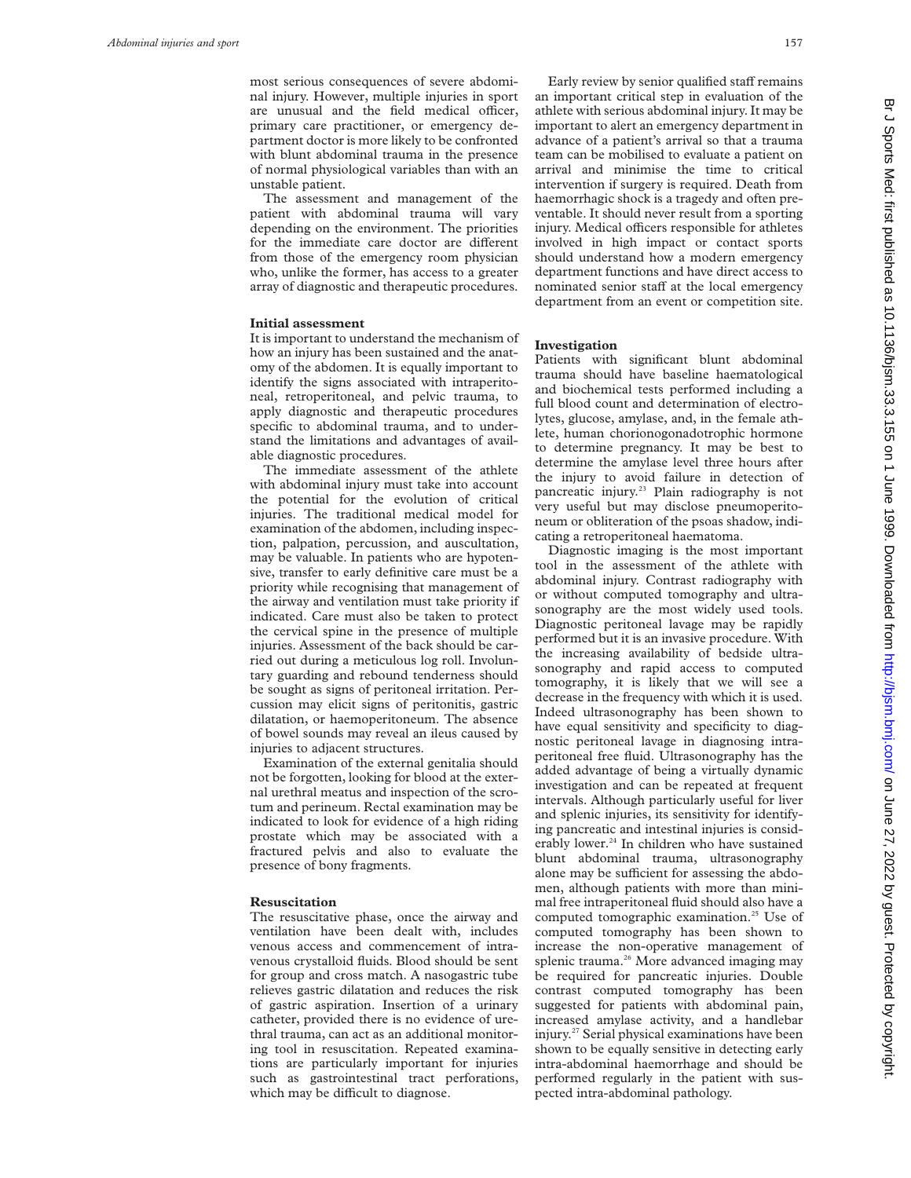most serious consequences of severe abdominal injury. However, multiple injuries in sport are unusual and the field medical officer, primary care practitioner, or emergency department doctor is more likely to be confronted with blunt abdominal trauma in the presence of normal physiological variables than with an unstable patient.

The assessment and management of the patient with abdominal trauma will vary depending on the environment. The priorities for the immediate care doctor are different from those of the emergency room physician who, unlike the former, has access to a greater array of diagnostic and therapeutic procedures.

#### **Initial assessment**

It is important to understand the mechanism of how an injury has been sustained and the anatomy of the abdomen. It is equally important to identify the signs associated with intraperitoneal, retroperitoneal, and pelvic trauma, to apply diagnostic and therapeutic procedures specific to abdominal trauma, and to understand the limitations and advantages of available diagnostic procedures.

The immediate assessment of the athlete with abdominal injury must take into account the potential for the evolution of critical injuries. The traditional medical model for examination of the abdomen, including inspection, palpation, percussion, and auscultation, may be valuable. In patients who are hypotensive, transfer to early definitive care must be a priority while recognising that management of the airway and ventilation must take priority if indicated. Care must also be taken to protect the cervical spine in the presence of multiple injuries. Assessment of the back should be carried out during a meticulous log roll. Involuntary guarding and rebound tenderness should be sought as signs of peritoneal irritation. Percussion may elicit signs of peritonitis, gastric dilatation, or haemoperitoneum. The absence of bowel sounds may reveal an ileus caused by injuries to adjacent structures.

Examination of the external genitalia should not be forgotten, looking for blood at the external urethral meatus and inspection of the scrotum and perineum. Rectal examination may be indicated to look for evidence of a high riding prostate which may be associated with a fractured pelvis and also to evaluate the presence of bony fragments.

### **Resuscitation**

The resuscitative phase, once the airway and ventilation have been dealt with, includes venous access and commencement of intravenous crystalloid fluids. Blood should be sent for group and cross match. A nasogastric tube relieves gastric dilatation and reduces the risk of gastric aspiration. Insertion of a urinary catheter, provided there is no evidence of urethral trauma, can act as an additional monitoring tool in resuscitation. Repeated examinations are particularly important for injuries such as gastrointestinal tract perforations, which may be difficult to diagnose.

Early review by senior qualified staff remains an important critical step in evaluation of the athlete with serious abdominal injury. It may be important to alert an emergency department in advance of a patient's arrival so that a trauma team can be mobilised to evaluate a patient on arrival and minimise the time to critical intervention if surgery is required. Death from haemorrhagic shock is a tragedy and often preventable. It should never result from a sporting injury. Medical officers responsible for athletes involved in high impact or contact sports should understand how a modern emergency department functions and have direct access to nominated senior staff at the local emergency department from an event or competition site.

## **Investigation**

Patients with significant blunt abdominal trauma should have baseline haematological and biochemical tests performed including a full blood count and determination of electrolytes, glucose, amylase, and, in the female athlete, human chorionogonadotrophic hormone to determine pregnancy. It may be best to determine the amylase level three hours after the injury to avoid failure in detection of pancreatic injury.<sup>23</sup> Plain radiography is not very useful but may disclose pneumoperitoneum or obliteration of the psoas shadow, indicating a retroperitoneal haematoma.

Diagnostic imaging is the most important tool in the assessment of the athlete with abdominal injury. Contrast radiography with or without computed tomography and ultrasonography are the most widely used tools. Diagnostic peritoneal lavage may be rapidly performed but it is an invasive procedure. With the increasing availability of bedside ultrasonography and rapid access to computed tomography, it is likely that we will see a decrease in the frequency with which it is used. Indeed ultrasonography has been shown to have equal sensitivity and specificity to diagnostic peritoneal lavage in diagnosing intraperitoneal free fluid. Ultrasonography has the added advantage of being a virtually dynamic investigation and can be repeated at frequent intervals. Although particularly useful for liver and splenic injuries, its sensitivity for identifying pancreatic and intestinal injuries is considerably lower.<sup>24</sup> In children who have sustained blunt abdominal trauma, ultrasonography alone may be sufficient for assessing the abdomen, although patients with more than minimal free intraperitoneal fluid should also have a computed tomographic examination.<sup>25</sup> Use of computed tomography has been shown to increase the non-operative management of splenic trauma.<sup>26</sup> More advanced imaging may be required for pancreatic injuries. Double contrast computed tomography has been suggested for patients with abdominal pain, increased amylase activity, and a handlebar injury.<sup>27</sup> Serial physical examinations have been shown to be equally sensitive in detecting early intra-abdominal haemorrhage and should be performed regularly in the patient with suspected intra-abdominal pathology.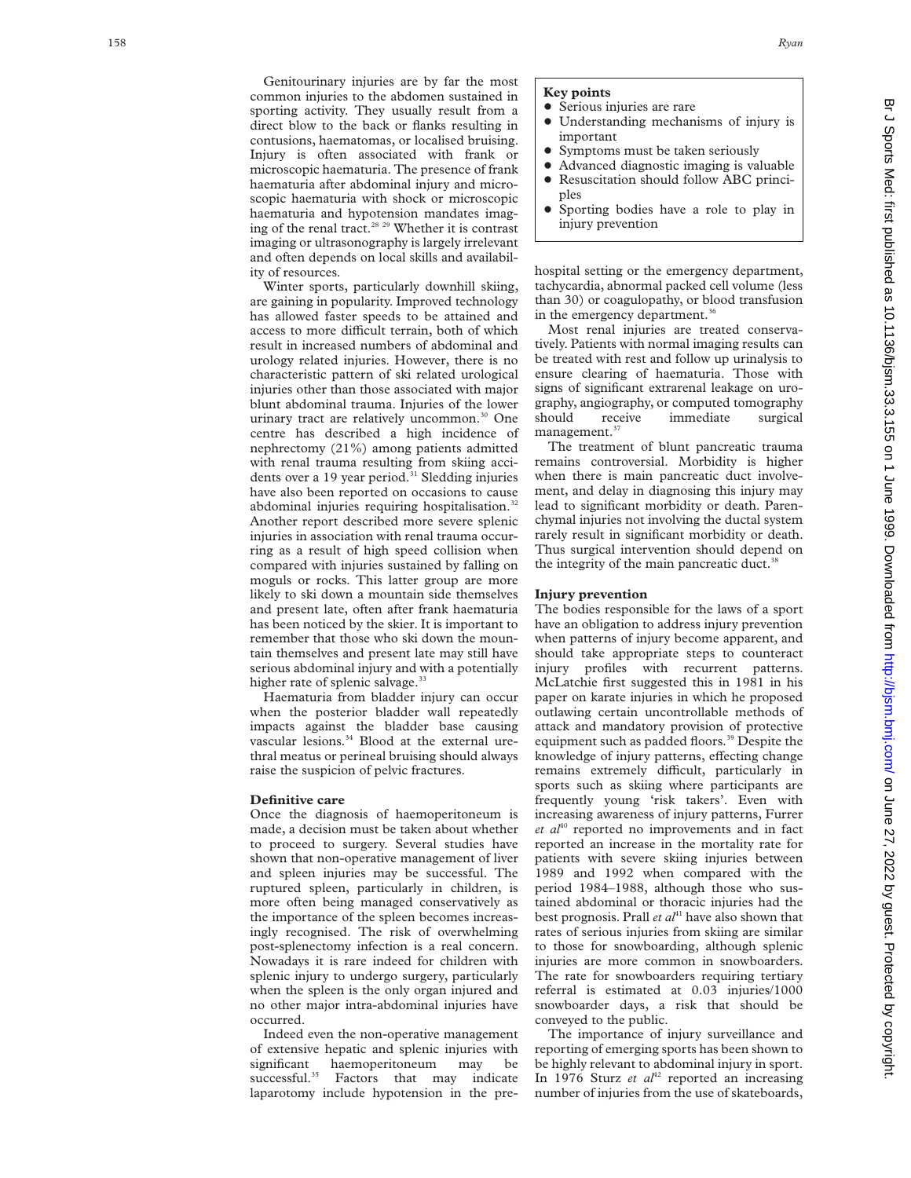Genitourinary injuries are by far the most common injuries to the abdomen sustained in sporting activity. They usually result from a direct blow to the back or flanks resulting in contusions, haematomas, or localised bruising. Injury is often associated with frank or microscopic haematuria. The presence of frank haematuria after abdominal injury and microscopic haematuria with shock or microscopic haematuria and hypotension mandates imaging of the renal tract.<sup>28</sup> <sup>29</sup> Whether it is contrast imaging or ultrasonography is largely irrelevant and often depends on local skills and availability of resources.

Winter sports, particularly downhill skiing, are gaining in popularity. Improved technology has allowed faster speeds to be attained and access to more difficult terrain, both of which result in increased numbers of abdominal and urology related injuries. However, there is no characteristic pattern of ski related urological injuries other than those associated with major blunt abdominal trauma. Injuries of the lower urinary tract are relatively uncommon.<sup>30</sup> One centre has described a high incidence of nephrectomy (21%) among patients admitted with renal trauma resulting from skiing accidents over a 19 year period.<sup>31</sup> Sledding injuries have also been reported on occasions to cause abdominal injuries requiring hospitalisation.<sup>32</sup> Another report described more severe splenic injuries in association with renal trauma occurring as a result of high speed collision when compared with injuries sustained by falling on moguls or rocks. This latter group are more likely to ski down a mountain side themselves and present late, often after frank haematuria has been noticed by the skier. It is important to remember that those who ski down the mountain themselves and present late may still have serious abdominal injury and with a potentially higher rate of splenic salvage.<sup>33</sup>

Haematuria from bladder injury can occur when the posterior bladder wall repeatedly impacts against the bladder base causing vascular lesions.<sup>34</sup> Blood at the external urethral meatus or perineal bruising should always raise the suspicion of pelvic fractures.

#### **Definitive care**

Once the diagnosis of haemoperitoneum is made, a decision must be taken about whether to proceed to surgery. Several studies have shown that non-operative management of liver and spleen injuries may be successful. The ruptured spleen, particularly in children, is more often being managed conservatively as the importance of the spleen becomes increasingly recognised. The risk of overwhelming post-splenectomy infection is a real concern. Nowadays it is rare indeed for children with splenic injury to undergo surgery, particularly when the spleen is the only organ injured and no other major intra-abdominal injuries have occurred.

Indeed even the non-operative management of extensive hepatic and splenic injuries with significant haemoperitoneum may be<br>successful.<sup>35</sup> Factors that may indicate Factors that may indicate laparotomy include hypotension in the pre-

#### **Key points**

- Serious injuries are rare
- Understanding mechanisms of injury is important
- Symptoms must be taken seriously
- Advanced diagnostic imaging is valuable + Resuscitation should follow ABC principles
- + Sporting bodies have a role to play in injury prevention

hospital setting or the emergency department, tachycardia, abnormal packed cell volume (less than 30) or coagulopathy, or blood transfusion in the emergency department.<sup>36</sup>

Most renal injuries are treated conservatively. Patients with normal imaging results can be treated with rest and follow up urinalysis to ensure clearing of haematuria. Those with signs of significant extrarenal leakage on urography, angiography, or computed tomography should receive immediate surgical management.<sup>37</sup>

The treatment of blunt pancreatic trauma remains controversial. Morbidity is higher when there is main pancreatic duct involvement, and delay in diagnosing this injury may lead to significant morbidity or death. Parenchymal injuries not involving the ductal system rarely result in significant morbidity or death. Thus surgical intervention should depend on the integrity of the main pancreatic duct.<sup>38</sup>

# **Injury prevention**

The bodies responsible for the laws of a sport have an obligation to address injury prevention when patterns of injury become apparent, and should take appropriate steps to counteract injury profiles with recurrent patterns. McLatchie first suggested this in 1981 in his paper on karate injuries in which he proposed outlawing certain uncontrollable methods of attack and mandatory provision of protective equipment such as padded floors.<sup>39</sup> Despite the knowledge of injury patterns, effecting change remains extremely difficult, particularly in sports such as skiing where participants are frequently young 'risk takers'. Even with increasing awareness of injury patterns, Furrer *et al*<sup>40</sup> reported no improvements and in fact reported an increase in the mortality rate for patients with severe skiing injuries between 1989 and 1992 when compared with the period 1984–1988, although those who sustained abdominal or thoracic injuries had the best prognosis. Prall *et al*<sup>41</sup> have also shown that rates of serious injuries from skiing are similar to those for snowboarding, although splenic injuries are more common in snowboarders. The rate for snowboarders requiring tertiary referral is estimated at 0.03 injuries/1000 snowboarder days, a risk that should be conveyed to the public.

The importance of injury surveillance and reporting of emerging sports has been shown to be highly relevant to abdominal injury in sport. In 1976 Sturz et al<sup>42</sup> reported an increasing number of injuries from the use of skateboards,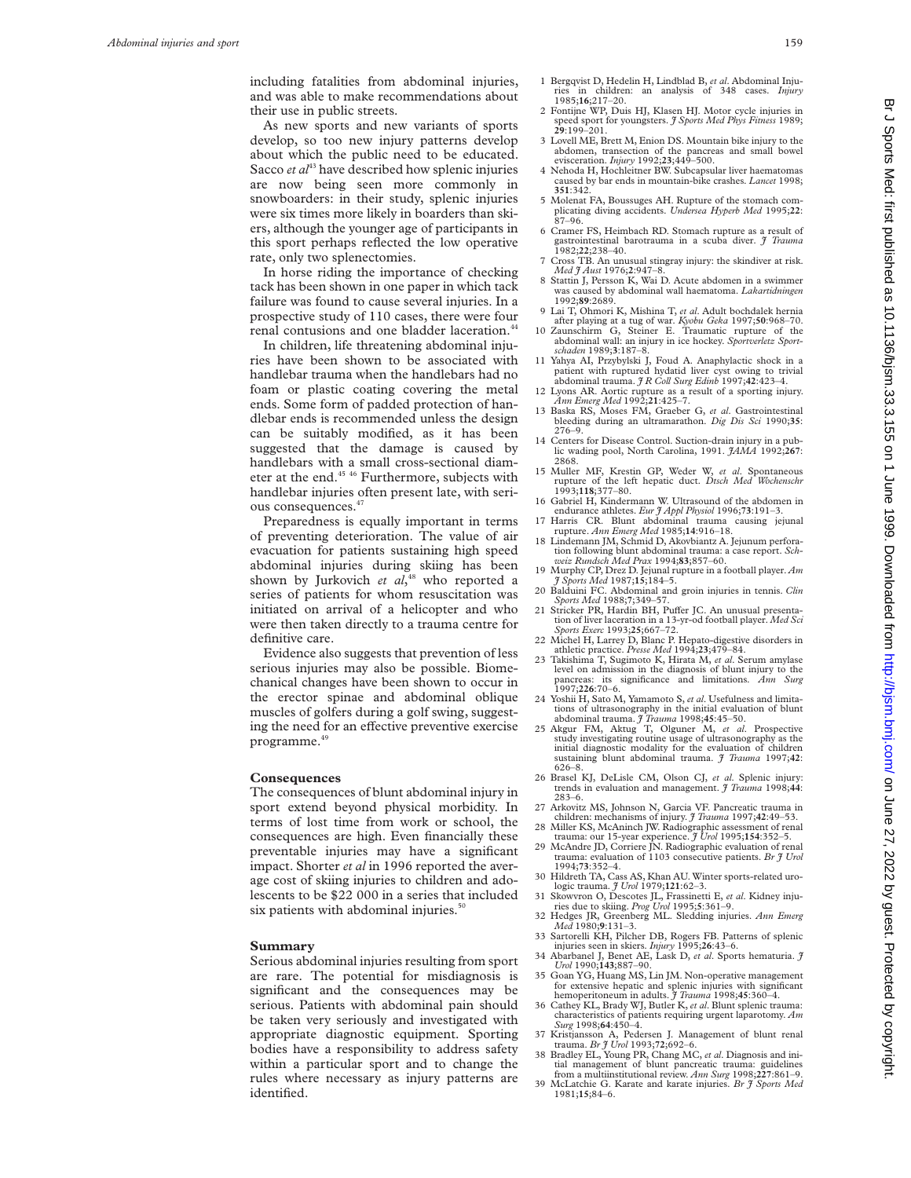including fatalities from abdominal injuries, and was able to make recommendations about their use in public streets.

As new sports and new variants of sports develop, so too new injury patterns develop about which the public need to be educated. Sacco *et al*<sup>43</sup> have described how splenic injuries are now being seen more commonly in snowboarders: in their study, splenic injuries were six times more likely in boarders than skiers, although the younger age of participants in this sport perhaps reflected the low operative rate, only two splenectomies.

In horse riding the importance of checking tack has been shown in one paper in which tack failure was found to cause several injuries. In a prospective study of 110 cases, there were four renal contusions and one bladder laceration.<sup>44</sup>

In children, life threatening abdominal injuries have been shown to be associated with handlebar trauma when the handlebars had no foam or plastic coating covering the metal ends. Some form of padded protection of handlebar ends is recommended unless the design can be suitably modified, as it has been suggested that the damage is caused by handlebars with a small cross-sectional diameter at the end.<sup>45 46</sup> Furthermore, subjects with handlebar injuries often present late, with serious consequences.47

Preparedness is equally important in terms of preventing deterioration. The value of air evacuation for patients sustaining high speed abdominal injuries during skiing has been shown by Jurkovich *et al*, <sup>48</sup> who reported a series of patients for whom resuscitation was initiated on arrival of a helicopter and who were then taken directly to a trauma centre for definitive care.

Evidence also suggests that prevention of less serious injuries may also be possible. Biomechanical changes have been shown to occur in the erector spinae and abdominal oblique muscles of golfers during a golf swing, suggesting the need for an effective preventive exercise programme.<sup>49</sup>

#### **Consequences**

The consequences of blunt abdominal injury in sport extend beyond physical morbidity. In terms of lost time from work or school, the consequences are high. Even financially these preventable injuries may have a significant impact. Shorter *et al* in 1996 reported the average cost of skiing injuries to children and adolescents to be \$22 000 in a series that included six patients with abdominal injuries. $50$ 

# **Summary**

Serious abdominal injuries resulting from sport are rare. The potential for misdiagnosis is significant and the consequences may be serious. Patients with abdominal pain should be taken very seriously and investigated with appropriate diagnostic equipment. Sporting bodies have a responsibility to address safety within a particular sport and to change the rules where necessary as injury patterns are identified.

- 1 Bergqvist D, Hedelin H, Lindblad B, *et al*. Abdominal Injuries in children: an analysis of 348 cases. *Injury* 1985;**16**;217–20.
- 2 Fontijne WP, Duis HJ, Klasen HJ. Motor cycle injuries in speed sport for youngsters. *J Sports Med Phys Fitness* 1989; **29**:199–201.
- 3 Lovell ME, Brett M, Enion DS. Mountain bike injury to the abdomen, transection of the pancreas and small bowel evisceration. *Injury* 1992;**23**;449–500.
- 4 Nehoda H, Hochleitner BW. Subcapsular liver haematomas caused by bar ends in mountain-bike crashes. *Lancet* 1998; **351**:342.
- 5 Molenat FA, Boussuges AH. Rupture of the stomach complicating diving accidents. *Undersea Hyperb Med* 1995;**22**: 87–96.
- 6 Cramer FS, Heimbach RD. Stomach rupture as a result of gastrointestinal barotrauma in a scuba diver. *J Trauma* 1982;**22**;238–40.
- 7 Cross TB. An unusual stingray injury: the skindiver at risk. *Med J Aust* 1976;**2**:947–8.
- 8 Stattin J, Persson K, Wai D. Acute abdomen in a swimmer was caused by abdominal wall haematoma. *Lakartidningen* 1992;**89**:2689.
- 9 Lai T, Ohmori K, Mishina T, *et al*. Adult bochdalek hernia after playing at a tug of war. *Kyobu Geka* 1997;**50**:968–70.
- 10 Zaunschirm G, Steiner E. Traumatic rupture of the abdominal wall: an injury in ice hockey. *Sportverletz Sport-schaden* 1989;**3**:187–8.
- 11 Yahya AI, Przybylski J, Foud A. Anaphylactic shock in a patient with ruptured hydatid liver cyst owing to trivial abdominal trauma. *J R Coll Surg Edinb* 1997;**42**:423–4.
- 12 Lyons AR. Aortic rupture as a result of a sporting injury. *Ann Emerg Med* 1992;**21**:425–7.
- 13 Baska RS, Moses FM, Graeber G, *et al*. Gastrointestinal bleeding during an ultramarathon. *Dig Dis Sci* 1990;**35**: 276–9.
- 14 Centers for Disease Control. Suction-drain injury in a public wading pool, North Carolina, 1991. *JAMA* 1992;**267**: 2868.
- 15 Muller MF, Krestin GP, Weder W, *et al*. Spontaneous rupture of the left hepatic duct. *Dtsch Med Wochenschr* 1993;**118**;377–80.
- 16 Gabriel H, Kindermann W. Ultrasound of the abdomen in endurance athletes. *Eur J Appl Physiol* 1996;**73**:191–3. 17 Harris CR. Blunt abdominal trauma causing jejunal rupture. *Ann Emerg Med* 1985;**14**:916–18.
- 18 Lindemann JM, Schmid D, Akovbiantz A. Jejunum perfora-
- tion following blunt abdominal trauma: a case report. *Sch-weiz Rundsch Med Prax* 1994;**83**;857–60.
- 19 Murphy CP, Drez D. Jejunal rupture in a football player. *Am J Sports Med* 1987;**15**;184–5. 20 Balduini FC. Abdominal and groin injuries in tennis. *Clin*
- *Sports Med* 1988;7;349-57.<br>21 Stricker PR, Hardin BH, Puffer JC. An unusual presenta-
- tion of liver laceration in a 13-yr-od football player. *Med Sci Sports Exerc* 1993;**25**;667–72.
- 22 Michel H, Larrey D, Blanc P. Hepato-digestive disorders in athletic practice. *Presse Med* 1994;**23**;479–84.
- 23 Takishima T, Sugimoto K, Hirata M, *et al*. Serum amylase level on admission in the diagnosis of blunt injury to the pancreas: its significance and limitations. *Ann Surg* 1997;**226**:70–6.
- 24 Yoshii H, Sato M, Yamamoto S, *et al*. Usefulness and limitations of ultrasonography in the initial evaluation of blunt abdominal trauma. *J Trauma* 1998;**45**:45–50.
- 25 Akgur FM, Aktug T, Olguner M, *et al*. Prospective study investigating routine usage of ultrasonography as the initial diagnostic modality for the evaluation of children sustaining blunt abdominal trauma. *J Trauma* 1997;**42**: 626–8.
- 26 Brasel KJ, DeLisle CM, Olson CJ, *et al*. Splenic injury: trends in evaluation and management. *J Trauma* 1998;**44**: 283–6.
- 27 Arkovitz MS, Johnson N, Garcia VF. Pancreatic trauma in children: mechanisms of injury. *J Trauma* 1997;**42**:49–53.
- 28 Miller KS, McAninch JW. Radiographic assessment of renal trauma: our 15-year experience. *J Urol* 1995;**154**:352–5. 29 McAndre JD, Corriere JN. Radiographic evaluation of renal
- trauma: evaluation of 1103 consecutive patients. *Br J Urol* 1994;**73**:352–4. 30 Hildreth TA, Cass AS, Khan AU. Winter sports-related uro-
- logic trauma. *J Urol* 1979;**121**:62–3.
- 31 Skowvron O, Descotes JL, Frassinetti E, *et al*. Kidney inju-ries due to skiing. *Prog Urol* 1995;**5**:361–9. 32 Hedges JR, Greenberg ML. Sledding injuries. *Ann Emerg*
- *Med* 1980;**9**:131–3. 33 Sartorelli KH, Pilcher DB, Rogers FB. Patterns of splenic
- injuries seen in skiers. *Injury* 1995;**26**:43–6. 34 Abarbanel J, Benet AE, Lask D, *et al*. Sports hematuria. *J*
- *Urol* 1990;**143**;887–90.
- 35 Goan YG, Huang MS, Lin JM. Non-operative management for extensive hepatic and splenic injuries with significant hemoperitoneum in adults. *J Trauma* 1998;**45**:360–4. 36 Cathey KL, Brady WJ, Butler K, *et al*. Blunt splenic trauma:
- characteristics of patients requiring urgent laparotomy. *Am Surg* 1998;**64**:450–4.
- 37 Kristjansson A, Pedersen J. Management of blunt renal trauma. *Br J Urol* 1993;**72**;692–6. 38 Bradley EL, Young PR, Chang MC, *et al*. Diagnosis and ini-
- tial management of blunt pancreatic trauma: guidelines from a multiinstitutional review. *Ann Surg* 1998;**227**:861–9. 39 McLatchie G. Karate and karate injuries. *Br J Sports Med*
- 1981;**15**;84–6.